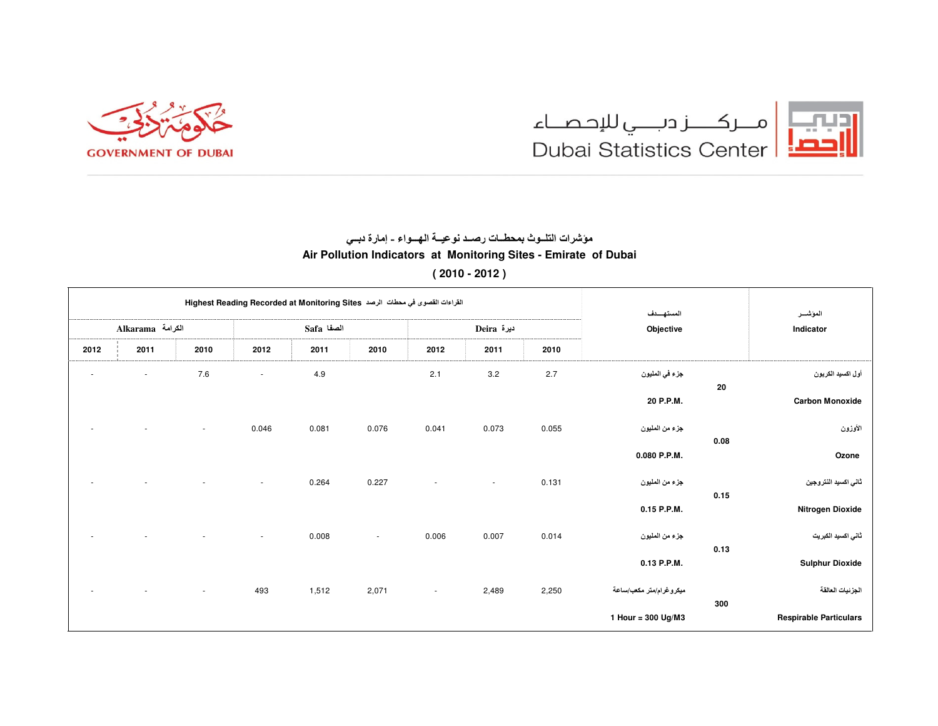



## مؤشرات التلــوث بمحطــات رصــد نوعيــة الـهـــواء - إمارة دبــى Air Pollution Indicators at Monitoring Sites - Emirate of Dubai  $(2010 - 2012)$

| المؤشىر                       | المستهسدف<br>Objective  | القراءات القصوى في محطات الرصد Highest Reading Recorded at Monitoring Sites |        |                          |            |       |        |                          |                          |        |  |  |  |
|-------------------------------|-------------------------|-----------------------------------------------------------------------------|--------|--------------------------|------------|-------|--------|--------------------------|--------------------------|--------|--|--|--|
| Indicator                     |                         | Deira ديرة                                                                  |        |                          | الصفا Safa |       |        | Alkarama الكرامة         |                          |        |  |  |  |
|                               |                         | 2010                                                                        | 2011   | 2012                     | 2010       | 2011  | 2012   | 2010                     | 2011                     | 2012   |  |  |  |
| أول اكسيد الكربون             | جزء في المليون          | 2.7                                                                         | 3.2    | 2.1                      |            | 4.9   | ٠      | 7.6                      | $\sim$                   | $\sim$ |  |  |  |
| 20<br><b>Carbon Monoxide</b>  | 20 P.P.M.               |                                                                             |        |                          |            |       |        |                          |                          |        |  |  |  |
| الأوزون<br>0.08               | جزء من المليون          | 0.055                                                                       | 0.073  | 0.041                    | 0.076      | 0.081 | 0.046  | $\sim$                   |                          |        |  |  |  |
| Ozone                         | 0.080 P.P.M.            |                                                                             |        |                          |            |       |        |                          |                          |        |  |  |  |
| ثاني اكسيد النتروجين<br>0.15  | جزء من المليون          | 0.131                                                                       | $\sim$ | $\overline{\phantom{a}}$ | 0.227      | 0.264 | $\sim$ | $\overline{\phantom{m}}$ | $\overline{\phantom{a}}$ | ٠      |  |  |  |
| Nitrogen Dioxide              | 0.15 P.P.M.             |                                                                             |        |                          |            |       |        |                          |                          |        |  |  |  |
| ثانی اکسید الکبریت<br>0.13    | جزء من المليون          | 0.014                                                                       | 0.007  | 0.006                    | $\sim$     | 0.008 | $\sim$ |                          |                          |        |  |  |  |
| <b>Sulphur Dioxide</b>        | 0.13 P.P.M.             |                                                                             |        |                          |            |       |        |                          |                          |        |  |  |  |
| الجزنيات العالقة<br>300       | ميكروغرام/متر مكعب/ساعة | 2,250                                                                       | 2,489  | $\overline{\phantom{a}}$ | 2,071      | 1,512 | 493    | $\sim$                   |                          |        |  |  |  |
| <b>Respirable Particulars</b> | 1 Hour = $300$ Ug/M3    |                                                                             |        |                          |            |       |        |                          |                          |        |  |  |  |